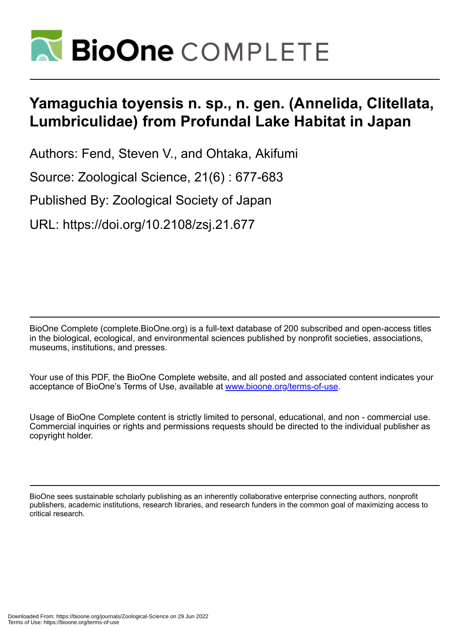

# **Yamaguchia toyensis n. sp., n. gen. (Annelida, Clitellata, Lumbriculidae) from Profundal Lake Habitat in Japan**

Authors: Fend, Steven V., and Ohtaka, Akifumi

Source: Zoological Science, 21(6) : 677-683

Published By: Zoological Society of Japan

URL: https://doi.org/10.2108/zsj.21.677

BioOne Complete (complete.BioOne.org) is a full-text database of 200 subscribed and open-access titles in the biological, ecological, and environmental sciences published by nonprofit societies, associations, museums, institutions, and presses.

Your use of this PDF, the BioOne Complete website, and all posted and associated content indicates your acceptance of BioOne's Terms of Use, available at www.bioone.org/terms-of-use.

Usage of BioOne Complete content is strictly limited to personal, educational, and non - commercial use. Commercial inquiries or rights and permissions requests should be directed to the individual publisher as copyright holder.

BioOne sees sustainable scholarly publishing as an inherently collaborative enterprise connecting authors, nonprofit publishers, academic institutions, research libraries, and research funders in the common goal of maximizing access to critical research.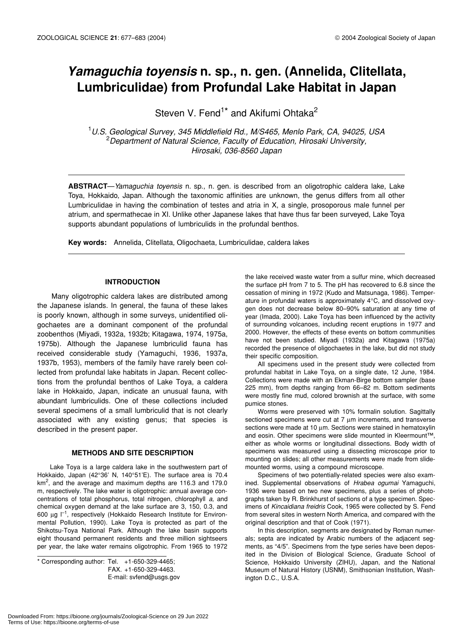# *Yamaguchia toyensis* **n. sp., n. gen. (Annelida, Clitellata, Lumbriculidae) from Profundal Lake Habitat in Japan**

Steven V. Fend<sup>1\*</sup> and Akifumi Ohtaka<sup>2</sup>

1 *U.S. Geological Survey, 345 Middlefield Rd., M/S465, Menlo Park, CA, 94025, USA* 2 *Department of Natural Science, Faculty of Education, Hirosaki University, Hirosaki, 036-8560 Japan*

**ABSTRACT**—*Yamaguchia toyensis* n. sp., n. gen. is described from an oligotrophic caldera lake, Lake Toya, Hokkaido, Japan. Although the taxonomic affinities are unknown, the genus differs from all other Lumbriculidae in having the combination of testes and atria in X, a single, prosoporous male funnel per atrium, and spermathecae in XI. Unlike other Japanese lakes that have thus far been surveyed, Lake Toya supports abundant populations of lumbriculids in the profundal benthos.

**Key words:** Annelida, Clitellata, Oligochaeta, Lumbriculidae, caldera lakes

#### **INTRODUCTION**

Many oligotrophic caldera lakes are distributed among the Japanese islands. In general, the fauna of these lakes is poorly known, although in some surveys, unidentified oligochaetes are a dominant component of the profundal zoobenthos (Miyadi, 1932a, 1932b; Kitagawa, 1974, 1975a, 1975b). Although the Japanese lumbriculid fauna has received considerable study (Yamaguchi, 1936, 1937a, 1937b, 1953), members of the family have rarely been collected from profundal lake habitats in Japan. Recent collections from the profundal benthos of Lake Toya, a caldera lake in Hokkaido, Japan, indicate an unusual fauna, with abundant lumbriculids. One of these collections included several specimens of a small lumbriculid that is not clearly associated with any existing genus; that species is described in the present paper.

#### **METHODS AND SITE DESCRIPTION**

Lake Toya is a large caldera lake in the southwestern part of Hokkaido, Japan (42°36' N, 140°51'E). The surface area is 70.4 km<sup>2</sup>, and the average and maximum depths are 116.3 and 179.0 m, respectively. The lake water is oligotrophic: annual average concentrations of total phosphorus, total nitrogen, chlorophyll *a*, and chemical oxygen demand at the lake surface are 3, 150, 0.3, and 600  $\mu$ g  $\Gamma$ <sup>1</sup>, respectively (Hokkaido Research Institute for Environmental Pollution, 1990). Lake Toya is protected as part of the Shikotsu-Toya National Park. Although the lake basin supports eight thousand permanent residents and three million sightseers per year, the lake water remains oligotrophic. From 1965 to 1972

 $*$  Corresponding author: Tel.  $+1-650-329-4465;$ FAX. +1-650-329-4463. E-mail: svfend@usgs.gov the lake received waste water from a sulfur mine, which decreased the surface pH from 7 to 5. The pH has recovered to 6.8 since the cessation of mining in 1972 (Kudo and Matsunaga, 1986). Temperature in profundal waters is approximately 4°C, and dissolved oxygen does not decrease below 80–90% saturation at any time of year (Imada, 2000). Lake Toya has been influenced by the activity of surrounding volcanoes, including recent eruptions in 1977 and 2000. However, the effects of these events on bottom communities have not been studied. Miyadi (1932a) and Kitagawa (1975a) recorded the presence of oligochaetes in the lake, but did not study their specific composition.

All specimens used in the present study were collected from profundal habitat in Lake Toya, on a single date, 12 June, 1984. Collections were made with an Ekman-Birge bottom sampler (base 225 mm), from depths ranging from 66–82 m. Bottom sediments were mostly fine mud, colored brownish at the surface, with some pumice stones.

Worms were preserved with 10% formalin solution. Sagittally sectioned specimens were cut at 7  $\mu$ m increments, and transverse sections were made at 10  $\mu$ m. Sections were stained in hematoxylin and eosin. Other specimens were slide mounted in Kleermount™, either as whole worms or longitudinal dissections. Body width of specimens was measured using a dissecting microscope prior to mounting on slides; all other measurements were made from slidemounted worms, using a compound microscope.

Specimens of two potentially-related species were also examined. Supplemental observations of *Hrabea ogumai* Yamaguchi, 1936 were based on two new specimens, plus a series of photographs taken by R. Brinkhurst of sections of a type specimen. Specimens of *Kincaidiana freidris* Cook, 1965 were collected by S. Fend from several sites in western North America, and compared with the original description and that of Cook (1971).

In this description, segments are designated by Roman numerals; septa are indicated by Arabic numbers of the adjacent segments, as "4/5". Specimens from the type series have been deposited in the Division of Biological Science, Graduate School of Science, Hokkaido University (ZIHU), Japan, and the National Museum of Natural History (USNM), Smithsonian Institution, Washington D.C., U.S.A.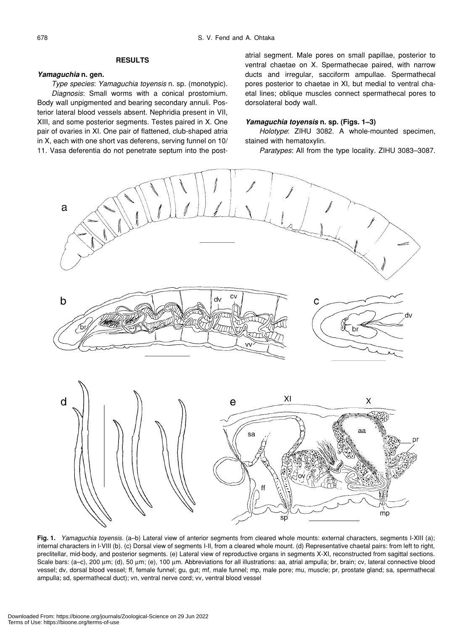# **RESULTS**

# *Yamaguchia* **n. gen.**

*Type species*: *Yamaguchia toyensis* n. sp. (monotypic). *Diagnosis*: Small worms with a conical prostomium. Body wall unpigmented and bearing secondary annuli. Posterior lateral blood vessels absent. Nephridia present in VII, XIII, and some posterior segments. Testes paired in X. One pair of ovaries in XI. One pair of flattened, club-shaped atria in X, each with one short vas deferens, serving funnel on 10/ 11. Vasa deferentia do not penetrate septum into the postatrial segment. Male pores on small papillae, posterior to ventral chaetae on X. Spermathecae paired, with narrow ducts and irregular, sacciform ampullae. Spermathecal pores posterior to chaetae in XI, but medial to ventral chaetal lines; oblique muscles connect spermathecal pores to dorsolateral body wall.

### *Yamaguchia toyensis* **n. sp. (Figs. 1–3)**

*Holotype*: ZIHU 3082. A whole-mounted specimen, stained with hematoxylin.

*Paratypes*: All from the type locality. ZIHU 3083–3087.



**Fig. 1.** *Yamaguchia toyensis*. (a–b) Lateral view of anterior segments from cleared whole mounts: external characters, segments I-XIII (a); internal characters in I-VIII (b). (c) Dorsal view of segments I-II, from a cleared whole mount. (d) Representative chaetal pairs: from left to right, preclitellar, mid-body, and posterior segments. (e) Lateral view of reproductive organs in segments X-XI, reconstructed from sagittal sections. Scale bars: (a–c), 200 µm; (d), 50 µm; (e), 100 µm. Abbreviations for all illustrations: aa, atrial ampulla; br, brain; cv, lateral connective blood vessel; dv, dorsal blood vessel; ff, female funnel; gu, gut; mf, male funnel; mp, male pore; mu, muscle; pr, prostate gland; sa, spermathecal ampulla; sd, spermathecal duct); vn, ventral nerve cord; vv, ventral blood vessel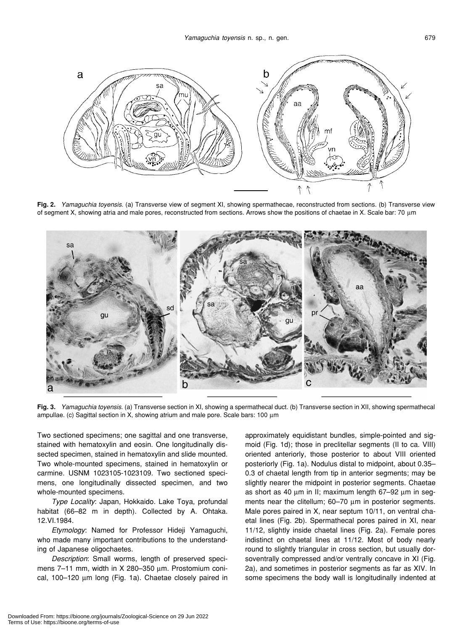

**Fig. 2.** *Yamaguchia toyensis*. (a) Transverse view of segment XI, showing spermathecae, reconstructed from sections. (b) Transverse view of segment X, showing atria and male pores, reconstructed from sections. Arrows show the positions of chaetae in X. Scale bar: 70 µm



**Fig. 3.** *Yamaguchia toyensis*. (a) Transverse section in XI, showing a spermathecal duct. (b) Transverse section in XII, showing spermathecal ampullae. (c) Sagittal section in X, showing atrium and male pore. Scale bars: 100 µm

Two sectioned specimens; one sagittal and one transverse, stained with hematoxylin and eosin. One longitudinally dissected specimen, stained in hematoxylin and slide mounted. Two whole-mounted specimens, stained in hematoxylin or carmine. USNM 1023105-1023109. Two sectioned specimens, one longitudinally dissected specimen, and two whole-mounted specimens.

*Type Locality*: Japan, Hokkaido. Lake Toya, profundal habitat (66–82 m in depth). Collected by A. Ohtaka. 12.VI.1984.

*Etymology*: Named for Professor Hideji Yamaguchi, who made many important contributions to the understanding of Japanese oligochaetes.

*Description*: Small worms, length of preserved specimens 7–11 mm, width in X 280–350 µm. Prostomium conical, 100–120 µm long (Fig. 1a). Chaetae closely paired in approximately equidistant bundles, simple-pointed and sigmoid (Fig. 1d); those in preclitellar segments (II to ca. VIII) oriented anteriorly, those posterior to about VIII oriented posteriorly (Fig. 1a). Nodulus distal to midpoint, about 0.35– 0.3 of chaetal length from tip in anterior segments; may be slightly nearer the midpoint in posterior segments. Chaetae as short as 40 um in II; maximum length 67-92 um in segments near the clitellum; 60–70  $\mu$ m in posterior segments. Male pores paired in X, near septum 10/11, on ventral chaetal lines (Fig. 2b). Spermathecal pores paired in XI, near 11/12, slightly inside chaetal lines (Fig. 2a). Female pores indistinct on chaetal lines at 11/12. Most of body nearly round to slightly triangular in cross section, but usually dorsoventrally compressed and/or ventrally concave in XI (Fig. 2a), and sometimes in posterior segments as far as XIV. In some specimens the body wall is longitudinally indented at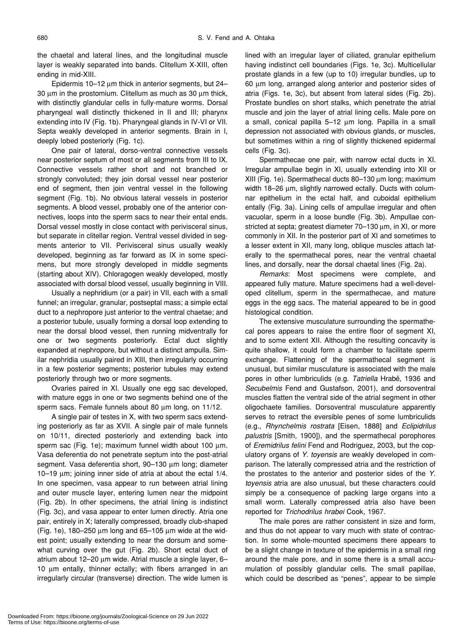the chaetal and lateral lines, and the longitudinal muscle layer is weakly separated into bands. Clitellum X-XIII, often ending in mid-XIII.

Epidermis 10–12 µm thick in anterior segments, but 24– 30 µm in the prostomium. Clitellum as much as 30 µm thick, with distinctly glandular cells in fully-mature worms. Dorsal pharyngeal wall distinctly thickened in II and III; pharynx extending into IV (Fig. 1b). Pharyngeal glands in IV-VI or VII. Septa weakly developed in anterior segments. Brain in I, deeply lobed posteriorly (Fig. 1c).

One pair of lateral, dorso-ventral connective vessels near posterior septum of most or all segments from III to IX. Connective vessels rather short and not branched or strongly convoluted; they join dorsal vessel near posterior end of segment, then join ventral vessel in the following segment (Fig. 1b). No obvious lateral vessels in posterior segments. A blood vessel, probably one of the anterior connectives, loops into the sperm sacs to near their ental ends. Dorsal vessel mostly in close contact with perivisceral sinus, but separate in clitellar region. Ventral vessel divided in segments anterior to VII. Perivisceral sinus usually weakly developed, beginning as far forward as IX in some specimens, but more strongly developed in middle segments (starting about XIV). Chloragogen weakly developed, mostly associated with dorsal blood vessel, usually beginning in VIII.

Usually a nephridium (or a pair) in VII, each with a small funnel; an irregular, granular, postseptal mass; a simple ectal duct to a nephropore just anterior to the ventral chaetae; and a posterior tubule, usually forming a dorsal loop extending to near the dorsal blood vessel, then running midventrally for one or two segments posteriorly. Ectal duct slightly expanded at nephropore, but without a distinct ampulla. Similar nephridia usually paired in XIII, then irregularly occurring in a few posterior segments; posterior tubules may extend posteriorly through two or more segments.

Ovaries paired in XI. Usually one egg sac developed, with mature eggs in one or two segments behind one of the sperm sacs. Female funnels about 80 um long, on 11/12.

A single pair of testes in X, with two sperm sacs extending posteriorly as far as XVII. A single pair of male funnels on 10/11, directed posteriorly and extending back into sperm sac (Fig. 1e); maximum funnel width about 100 um. Vasa deferentia do not penetrate septum into the post-atrial segment. Vasa deferentia short, 90–130 µm long; diameter 10–19 µm; joining inner side of atria at about the ectal 1/4. In one specimen, vasa appear to run between atrial lining and outer muscle layer, entering lumen near the midpoint (Fig. 2b). In other specimens, the atrial lining is indistinct (Fig. 3c), and vasa appear to enter lumen directly. Atria one pair, entirely in X; laterally compressed, broadly club-shaped (Fig. 1e), 180–250  $\mu$ m long and 65–105  $\mu$ m wide at the widest point; usually extending to near the dorsum and somewhat curving over the gut (Fig. 2b). Short ectal duct of atrium about 12–20 µm wide. Atrial muscle a single layer, 6– 10 µm entally, thinner ectally; with fibers arranged in an irregularly circular (transverse) direction. The wide lumen is lined with an irregular layer of ciliated, granular epithelium having indistinct cell boundaries (Figs. 1e, 3c). Multicellular prostate glands in a few (up to 10) irregular bundles, up to 60 µm long, arranged along anterior and posterior sides of atria (Figs. 1e, 3c), but absent from lateral sides (Fig. 2b). Prostate bundles on short stalks, which penetrate the atrial muscle and join the layer of atrial lining cells. Male pore on a small, conical papilla 5–12 µm long. Papilla in a small depression not associated with obvious glands, or muscles, but sometimes within a ring of slightly thickened epidermal cells (Fig. 3c).

Spermathecae one pair, with narrow ectal ducts in XI. Irregular ampullae begin in XI, usually extending into XII or XIII (Fig. 1e). Spermathecal ducts 80–130 µm long; maximum width 18–26  $\mu$ m, slightly narrowed ectally. Ducts with columnar epithelium in the ectal half, and cuboidal epithelium entally (Fig. 3a). Lining cells of ampullae irregular and often vacuolar, sperm in a loose bundle (Fig. 3b). Ampullae constricted at septa; greatest diameter 70–130  $\mu$ m, in XI, or more commonly in XII. In the posterior part of XI and sometimes to a lesser extent in XII, many long, oblique muscles attach laterally to the spermathecal pores, near the ventral chaetal lines, and dorsally, near the dorsal chaetal lines (Fig. 2a).

*Remarks*: Most specimens were complete, and appeared fully mature. Mature specimens had a well-developed clitellum, sperm in the spermathecae, and mature eggs in the egg sacs. The material appeared to be in good histological condition.

The extensive musculature surrounding the spermathecal pores appears to raise the entire floor of segment XI, and to some extent XII. Although the resulting concavity is quite shallow, it could form a chamber to facilitate sperm exchange. Flattening of the spermathecal segment is unusual, but similar musculature is associated with the male pores in other lumbriculids (e.g. *Tatriella* Hrabě, 1936 and *Secubelmis* Fend and Gustafson, 2001), and dorsoventral muscles flatten the ventral side of the atrial segment in other oligochaete families. Dorsoventral musculature apparently serves to retract the eversible penes of some lumbriculids (e.g., *Rhynchelmis rostrata* [Eisen, 1888] and *Eclipidrilus palustris* [Smith, 1900]), and the spermathecal porophores of *Eremidrilus felini* Fend and Rodriguez, 2003, but the copulatory organs of *Y. toyensis* are weakly developed in comparison. The laterally compressed atria and the restriction of the prostates to the anterior and posterior sides of the *Y. toyensis* atria are also unusual, but these characters could simply be a consequence of packing large organs into a small worm. Laterally compressed atria also have been reported for *Trichodrilus hrabei* Cook, 1967.

The male pores are rather consistent in size and form, and thus do not appear to vary much with state of contraction. In some whole-mounted specimens there appears to be a slight change in texture of the epidermis in a small ring around the male pore, and in some there is a small accumulation of possibly glandular cells. The small papillae, which could be described as "penes", appear to be simple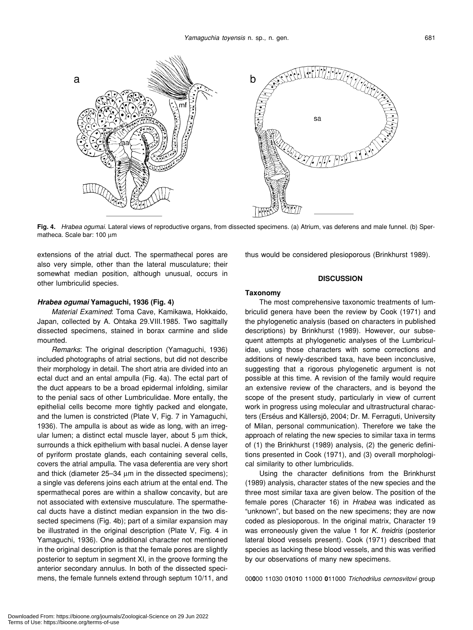

**Fig. 4.** *Hrabea ogumai*. Lateral views of reproductive organs, from dissected specimens. (a) Atrium, vas deferens and male funnel. (b) Spermatheca. Scale bar: 100 µm

extensions of the atrial duct. The spermathecal pores are also very simple, other than the lateral musculature; their somewhat median position, although unusual, occurs in other lumbriculid species.

## *Hrabea ogumai* **Yamaguchi, 1936 (Fig. 4)**

*Material Examined*: Toma Cave, Kamikawa, Hokkaido, Japan, collected by A. Ohtaka 29.VIII.1985. Two sagittally dissected specimens, stained in borax carmine and slide mounted.

*Remarks*: The original description (Yamaguchi, 1936) included photographs of atrial sections, but did not describe their morphology in detail. The short atria are divided into an ectal duct and an ental ampulla (Fig. 4a). The ectal part of the duct appears to be a broad epidermal infolding, similar to the penial sacs of other Lumbriculidae. More entally, the epithelial cells become more tightly packed and elongate, and the lumen is constricted (Plate V, Fig. 7 in Yamaguchi, 1936). The ampulla is about as wide as long, with an irregular lumen; a distinct ectal muscle layer, about 5 µm thick, surrounds a thick epithelium with basal nuclei. A dense layer of pyriform prostate glands, each containing several cells, covers the atrial ampulla. The vasa deferentia are very short and thick (diameter 25–34  $\mu$ m in the dissected specimens); a single vas deferens joins each atrium at the ental end. The spermathecal pores are within a shallow concavity, but are not associated with extensive musculature. The spermathecal ducts have a distinct median expansion in the two dissected specimens (Fig. 4b); part of a similar expansion may be illustrated in the original description (Plate V, Fig. 4 in Yamaguchi, 1936). One additional character not mentioned in the original description is that the female pores are slightly posterior to septum in segment XI, in the groove forming the anterior secondary annulus. In both of the dissected specimens, the female funnels extend through septum 10/11, and thus would be considered plesioporous (Brinkhurst 1989).

# **DISCUSSION**

# **Taxonomy**

The most comprehensive taxonomic treatments of lumbriculid genera have been the review by Cook (1971) and the phylogenetic analysis (based on characters in published descriptions) by Brinkhurst (1989). However, our subsequent attempts at phylogenetic analyses of the Lumbriculidae, using those characters with some corrections and additions of newly-described taxa, have been inconclusive, suggesting that a rigorous phylogenetic argument is not possible at this time. A revision of the family would require an extensive review of the characters, and is beyond the scope of the present study, particularly in view of current work in progress using molecular and ultrastructural characters (Erséus and Källersjö, 2004; Dr. M. Ferraguti, University of Milan, personal communication). Therefore we take the approach of relating the new species to similar taxa in terms of (1) the Brinkhurst (1989) analysis, (2) the generic definitions presented in Cook (1971), and (3) overall morphological similarity to other lumbriculids.

Using the character definitions from the Brinkhurst (1989) analysis, character states of the new species and the three most similar taxa are given below. The position of the female pores (Character 16) in *Hrabea* was indicated as "unknown", but based on the new specimens; they are now coded as plesioporous. In the original matrix, Character 19 was erroneously given the value 1 for *K. freidris* (posterior lateral blood vessels present). Cook (1971) described that species as lacking these blood vessels, and this was verified by our observations of many new specimens.

00**0**00 11030 0**1**0**1**0 11000 **0**11000 *Trichodrilus cernosvitovi* group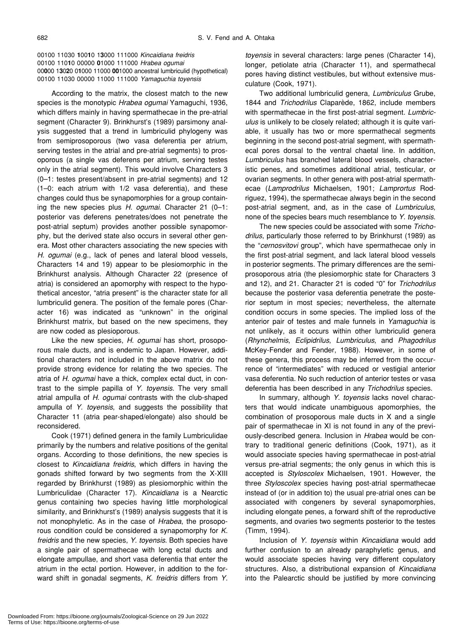00100 11030 **1**00**1**0 1**3**000 111000 *Kincaidiana freidris* 00100 110**1**0 00000 **0**1000 111000 *Hrabea ogumai* 00**0**00 1**3**0**2**0 0**1**000 11000 **00**1000 ancestral lumbriculid (hypothetical) 00100 11030 00000 11000 111000 *Yamaguchia toyensis*

According to the matrix, the closest match to the new species is the monotypic *Hrabea ogumai* Yamaguchi, 1936, which differs mainly in having spermathecae in the pre-atrial segment (Character 9). Brinkhurst's (1989) parsimony analysis suggested that a trend in lumbriculid phylogeny was from semiprosoporous (two vasa deferentia per atrium, serving testes in the atrial and pre-atrial segments) to prosoporous (a single vas deferens per atrium, serving testes only in the atrial segment). This would involve Characters 3 (0–1: testes present/absent in pre-atrial segments) and 12 (1–0: each atrium with 1/2 vasa deferentia), and these changes could thus be synapomorphies for a group containing the new species plus *H. ogumai*. Character 21 (0–1: posterior vas deferens penetrates/does not penetrate the post-atrial septum) provides another possible synapomorphy, but the derived state also occurs in several other genera. Most other characters associating the new species with *H. ogumai* (e.g., lack of penes and lateral blood vessels, Characters 14 and 19) appear to be plesiomorphic in the Brinkhurst analysis. Although Character 22 (presence of atria) is considered an apomorphy with respect to the hypothetical ancestor, "atria present" is the character state for all lumbriculid genera. The position of the female pores (Character 16) was indicated as "unknown" in the original Brinkhurst matrix, but based on the new specimens, they are now coded as plesioporous.

Like the new species, *H. ogumai* has short, prosoporous male ducts, and is endemic to Japan. However, additional characters not included in the above matrix do not provide strong evidence for relating the two species. The atria of *H. ogumai* have a thick, complex ectal duct, in contrast to the simple papilla of *Y. toyensis*. The very small atrial ampulla of *H. ogumai* contrasts with the club-shaped ampulla of *Y. toyensis*, and suggests the possibility that Character 11 (atria pear-shaped/elongate) also should be reconsidered.

Cook (1971) defined genera in the family Lumbriculidae primarily by the numbers and relative positions of the genital organs. According to those definitions, the new species is closest to *Kincaidiana freidris*, which differs in having the gonads shifted forward by two segments from the X-XIII regarded by Brinkhurst (1989) as plesiomorphic within the Lumbriculidae (Character 17). *Kincaidiana* is a Nearctic genus containing two species having little morphological similarity, and Brinkhurst's (1989) analysis suggests that it is not monophyletic. As in the case of *Hrabea*, the prosoporous condition could be considered a synapomorphy for *K. freidris* and the new species, *Y. toyensis*. Both species have a single pair of spermathecae with long ectal ducts and elongate ampullae, and short vasa deferentia that enter the atrium in the ectal portion. However, in addition to the forward shift in gonadal segments, *K. freidris* differs from *Y.*

*toyensis* in several characters: large penes (Character 14), longer, petiolate atria (Character 11), and spermathecal pores having distinct vestibules, but without extensive musculature (Cook, 1971).

Two additional lumbriculid genera, *Lumbriculus* Grube, 1844 and *Trichodrilus* Claparède, 1862, include members with spermathecae in the first post-atrial segment. *Lumbriculus* is unlikely to be closely related; although it is quite variable, it usually has two or more spermathecal segments beginning in the second post-atrial segment, with spermathecal pores dorsal to the ventral chaetal line. In addition, *Lumbriculus* has branched lateral blood vessels, characteristic penes, and sometimes additional atrial, testicular, or ovarian segments. In other genera with post-atrial spermathecae (*Lamprodrilus* Michaelsen, 1901; *Lamprortus* Rodriguez, 1994), the spermathecae always begin in the second post-atrial segment, and, as in the case of *Lumbriculus*, none of the species bears much resemblance to *Y. toyensis*.

The new species could be associated with some *Trichodrilus*, particularly those referred to by Brinkhurst (1989) as the "*cernosvitovi* group", which have spermathecae only in the first post-atrial segment, and lack lateral blood vessels in posterior segments. The primary differences are the semiprosoporous atria (the plesiomorphic state for Characters 3 and 12), and 21. Character 21 is coded "0" for *Trichodrilus* because the posterior vasa deferentia penetrate the posterior septum in most species; nevertheless, the alternate condition occurs in some species. The implied loss of the anterior pair of testes and male funnels in *Yamaguchia* is not unlikely, as it occurs within other lumbriculid genera (*Rhynchelmis*, *Eclipidrilus*, *Lumbriculus*, and *Phagodrilus* McKey-Fender and Fender, 1988). However, in some of these genera, this process may be inferred from the occurrence of "intermediates" with reduced or vestigial anterior vasa deferentia. No such reduction of anterior testes or vasa deferentia has been described in any *Trichodrilus* species.

In summary, although *Y. toyensis* lacks novel characters that would indicate unambiguous apomorphies, the combination of prosoporous male ducts in X and a single pair of spermathecae in XI is not found in any of the previously-described genera. Inclusion in *Hrabea* would be contrary to traditional generic definitions (Cook, 1971), as it would associate species having spermathecae in post-atrial versus pre-atrial segments; the only genus in which this is accepted is *Styloscolex* Michaelsen, 1901. However, the three *Styloscolex* species having post-atrial spermathecae instead of (or in addition to) the usual pre-atrial ones can be associated with congeners by several synapomorphies, including elongate penes, a forward shift of the reproductive segments, and ovaries two segments posterior to the testes (Timm, 1994).

Inclusion of *Y. toyensis* within *Kincaidiana* would add further confusion to an already paraphyletic genus, and would associate species having very different copulatory structures. Also, a distributional expansion of *Kincaidiana* into the Palearctic should be justified by more convincing